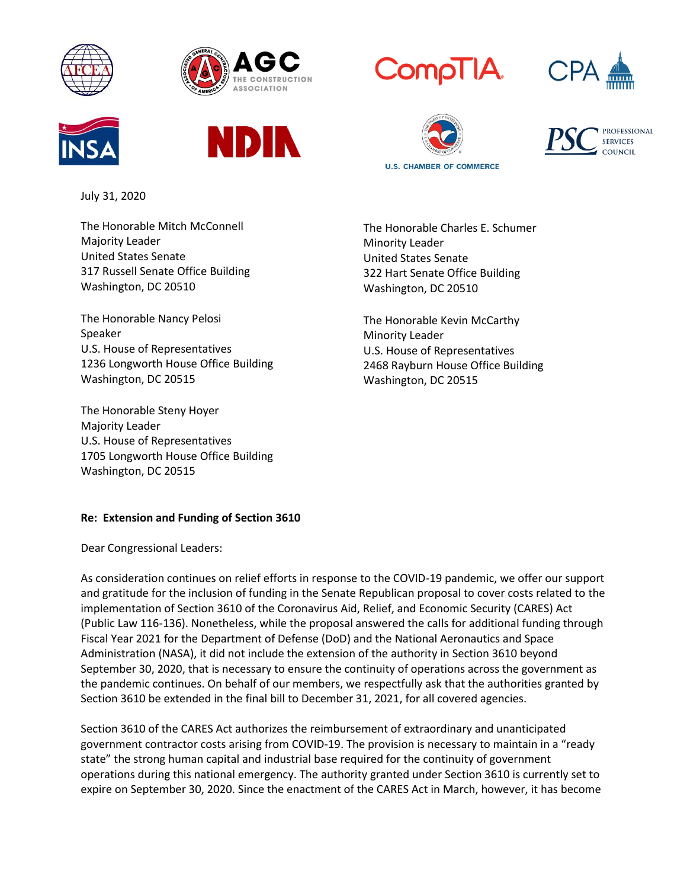















July 31, 2020

The Honorable Mitch McConnell Majority Leader United States Senate 317 Russell Senate Office Building Washington, DC 20510

The Honorable Nancy Pelosi Speaker U.S. House of Representatives 1236 Longworth House Office Building Washington, DC 20515

The Honorable Steny Hoyer Majority Leader U.S. House of Representatives 1705 Longworth House Office Building Washington, DC 20515

The Honorable Charles E. Schumer Minority Leader United States Senate 322 Hart Senate Office Building Washington, DC 20510

The Honorable Kevin McCarthy Minority Leader U.S. House of Representatives 2468 Rayburn House Office Building Washington, DC 20515

## **Re: Extension and Funding of Section 3610**

Dear Congressional Leaders:

As consideration continues on relief efforts in response to the COVID-19 pandemic, we offer our support and gratitude for the inclusion of funding in the Senate Republican proposal to cover costs related to the implementation of Section 3610 of the Coronavirus Aid, Relief, and Economic Security (CARES) Act (Public Law 116-136). Nonetheless, while the proposal answered the calls for additional funding through Fiscal Year 2021 for the Department of Defense (DoD) and the National Aeronautics and Space Administration (NASA), it did not include the extension of the authority in Section 3610 beyond September 30, 2020, that is necessary to ensure the continuity of operations across the government as the pandemic continues. On behalf of our members, we respectfully ask that the authorities granted by Section 3610 be extended in the final bill to December 31, 2021, for all covered agencies.

Section 3610 of the CARES Act authorizes the reimbursement of extraordinary and unanticipated government contractor costs arising from COVID-19. The provision is necessary to maintain in a "ready state" the strong human capital and industrial base required for the continuity of government operations during this national emergency. The authority granted under Section 3610 is currently set to expire on September 30, 2020. Since the enactment of the CARES Act in March, however, it has become